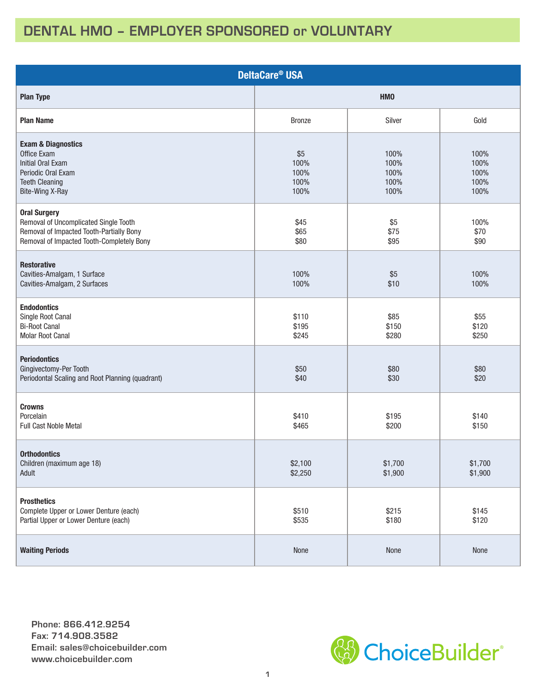## **DENTAL HMO – EMPLOYER SPONSORED or VOLUNTARY**

| <b>DeltaCare<sup>®</sup> USA</b>                                                                                                                      |                                     |                                      |                                      |  |  |  |  |  |  |
|-------------------------------------------------------------------------------------------------------------------------------------------------------|-------------------------------------|--------------------------------------|--------------------------------------|--|--|--|--|--|--|
| <b>Plan Type</b>                                                                                                                                      | <b>HMO</b>                          |                                      |                                      |  |  |  |  |  |  |
| <b>Plan Name</b>                                                                                                                                      | <b>Bronze</b>                       | Silver                               | Gold                                 |  |  |  |  |  |  |
| <b>Exam &amp; Diagnostics</b><br>Office Exam<br><b>Initial Oral Exam</b><br>Periodic Oral Exam<br><b>Teeth Cleaning</b><br>Bite-Wing X-Ray            | \$5<br>100%<br>100%<br>100%<br>100% | 100%<br>100%<br>100%<br>100%<br>100% | 100%<br>100%<br>100%<br>100%<br>100% |  |  |  |  |  |  |
| <b>Oral Surgery</b><br>Removal of Uncomplicated Single Tooth<br>Removal of Impacted Tooth-Partially Bony<br>Removal of Impacted Tooth-Completely Bony | \$45<br>\$65<br>\$80                | \$5<br>\$75<br>\$95                  | 100%<br>\$70<br>\$90                 |  |  |  |  |  |  |
| <b>Restorative</b><br>Cavities-Amalgam, 1 Surface<br>Cavities-Amalgam, 2 Surfaces                                                                     | 100%<br>100%                        | \$5<br>\$10                          | 100%<br>100%                         |  |  |  |  |  |  |
| <b>Endodontics</b><br>Single Root Canal<br><b>Bi-Root Canal</b><br><b>Molar Root Canal</b>                                                            | \$110<br>\$195<br>\$245             | \$85<br>\$150<br>\$280               | \$55<br>\$120<br>\$250               |  |  |  |  |  |  |
| <b>Periodontics</b><br>Gingivectomy-Per Tooth<br>Periodontal Scaling and Root Planning (quadrant)                                                     | \$50<br>\$40                        | \$80<br>\$30                         | \$80<br>\$20                         |  |  |  |  |  |  |
| <b>Crowns</b><br>Porcelain<br><b>Full Cast Noble Metal</b>                                                                                            | \$410<br>\$465                      | \$195<br>\$200                       | \$140<br>\$150                       |  |  |  |  |  |  |
| <b>Orthodontics</b><br>Children (maximum age 18)<br>Adult                                                                                             | \$2,100<br>\$2,250                  | \$1,700<br>\$1,900                   | \$1,700<br>\$1,900                   |  |  |  |  |  |  |
| <b>Prosthetics</b><br>Complete Upper or Lower Denture (each)<br>Partial Upper or Lower Denture (each)                                                 | \$510<br>\$535                      | \$215<br>\$180                       | \$145<br>\$120                       |  |  |  |  |  |  |
| <b>Waiting Periods</b>                                                                                                                                | None                                | None                                 | None                                 |  |  |  |  |  |  |

**Phone: 866.412.9254 Fax: 714.908.3582 Email: sales@choicebuilder.com www.choicebuilder.com**

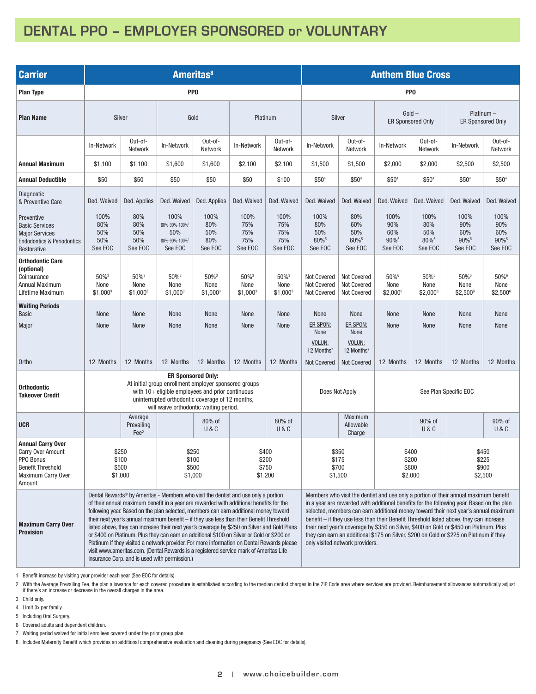## **DENTAL PPO – EMPLOYER SPONSORED or VOLUNTARY**

| <b>Carrier</b>                                                                                                                | <b>Ameritas<sup>8</sup></b>                                                                                                                                                                                                                                                                                                                                                                                                                                                                                                                                                                                                                                                                                                                                                                                         |                                        |                                                         |                                        |                                           |                                        |                                                         | <b>Anthem Blue Cross</b>                                                                                                                                                                                                                                                                                                                                                                                                                                                                                                                                                                     |                                       |                                       |                                                   |                                       |  |  |
|-------------------------------------------------------------------------------------------------------------------------------|---------------------------------------------------------------------------------------------------------------------------------------------------------------------------------------------------------------------------------------------------------------------------------------------------------------------------------------------------------------------------------------------------------------------------------------------------------------------------------------------------------------------------------------------------------------------------------------------------------------------------------------------------------------------------------------------------------------------------------------------------------------------------------------------------------------------|----------------------------------------|---------------------------------------------------------|----------------------------------------|-------------------------------------------|----------------------------------------|---------------------------------------------------------|----------------------------------------------------------------------------------------------------------------------------------------------------------------------------------------------------------------------------------------------------------------------------------------------------------------------------------------------------------------------------------------------------------------------------------------------------------------------------------------------------------------------------------------------------------------------------------------------|---------------------------------------|---------------------------------------|---------------------------------------------------|---------------------------------------|--|--|
| <b>Plan Type</b>                                                                                                              | PP <sub>0</sub>                                                                                                                                                                                                                                                                                                                                                                                                                                                                                                                                                                                                                                                                                                                                                                                                     |                                        |                                                         |                                        |                                           |                                        | PP <sub>0</sub>                                         |                                                                                                                                                                                                                                                                                                                                                                                                                                                                                                                                                                                              |                                       |                                       |                                                   |                                       |  |  |
| <b>Plan Name</b>                                                                                                              | Silver                                                                                                                                                                                                                                                                                                                                                                                                                                                                                                                                                                                                                                                                                                                                                                                                              |                                        | Gold                                                    |                                        | Platinum                                  |                                        | Silver                                                  |                                                                                                                                                                                                                                                                                                                                                                                                                                                                                                                                                                                              | $Gold -$<br><b>ER Sponsored Only</b>  |                                       | $Platinum -$<br><b>ER Sponsored Only</b>          |                                       |  |  |
|                                                                                                                               | In-Network                                                                                                                                                                                                                                                                                                                                                                                                                                                                                                                                                                                                                                                                                                                                                                                                          | Out-of-<br>Network                     | In-Network                                              | Out-of-<br>Network                     | In-Network                                | Out-of-<br>Network                     | In-Network                                              | Out-of-<br>Network                                                                                                                                                                                                                                                                                                                                                                                                                                                                                                                                                                           | In-Network                            | Out-of-<br>Network                    | In-Network                                        | Out-of-<br>Network                    |  |  |
| <b>Annual Maximum</b>                                                                                                         | \$1,100                                                                                                                                                                                                                                                                                                                                                                                                                                                                                                                                                                                                                                                                                                                                                                                                             | \$1,100                                | \$1,600                                                 | \$1,600                                | \$2,100                                   | \$2,100                                | \$1,500                                                 | \$1,500                                                                                                                                                                                                                                                                                                                                                                                                                                                                                                                                                                                      | \$2,000                               | \$2,000                               | \$2,500                                           | \$2,500                               |  |  |
| <b>Annual Deductible</b>                                                                                                      | \$50                                                                                                                                                                                                                                                                                                                                                                                                                                                                                                                                                                                                                                                                                                                                                                                                                | \$50                                   | \$50                                                    | \$50                                   | \$50                                      | \$100                                  | \$504                                                   | \$50 <sup>4</sup>                                                                                                                                                                                                                                                                                                                                                                                                                                                                                                                                                                            | \$50 <sup>4</sup>                     | \$50 <sup>4</sup>                     | \$504                                             | \$50 <sup>4</sup>                     |  |  |
| Diagnostic<br>& Preventive Care                                                                                               | Ded. Waived                                                                                                                                                                                                                                                                                                                                                                                                                                                                                                                                                                                                                                                                                                                                                                                                         | Ded. Applies                           | Ded. Waived                                             | Ded. Applies                           | Ded. Waived                               | Ded. Waived                            | Ded. Waived                                             | Ded. Waived                                                                                                                                                                                                                                                                                                                                                                                                                                                                                                                                                                                  | Ded. Waived                           | Ded. Waived                           | Ded. Waived                                       | Ded. Waived                           |  |  |
| Preventive<br><b>Basic Services</b><br><b>Major Services</b><br><b>Endodontics &amp; Periodontics</b><br>Restorative          | 100%<br>80%<br>50%<br>50%<br>See EOC                                                                                                                                                                                                                                                                                                                                                                                                                                                                                                                                                                                                                                                                                                                                                                                | 80%<br>80%<br>50%<br>50%<br>See EOC    | 100%<br>80%-90%-100%1<br>50%<br>80%-90%-100%<br>See EOC | 100%<br>80%<br>50%<br>80%<br>See EOC   | 100%<br>75%<br>75%<br>75%<br>See EOC      | 100%<br>75%<br>75%<br>75%<br>See EOC   | 100%<br>80%<br>50%<br>80%5<br>See EOC                   | 80%<br>60%<br>50%<br>60%5<br>See EOC                                                                                                                                                                                                                                                                                                                                                                                                                                                                                                                                                         | 100%<br>90%<br>60%<br>90%5<br>See EOC | 100%<br>80%<br>50%<br>80%5<br>See EOC | 100%<br>90%<br>60%<br>90% <sup>5</sup><br>See EOC | 100%<br>90%<br>60%<br>90%5<br>See EOC |  |  |
| <b>Orthodontic Care</b><br>(optional)<br>Coinsurance<br><b>Annual Maximum</b><br>Lifetime Maximum                             | 50% <sup>3</sup><br>None<br>$$1,000^3$                                                                                                                                                                                                                                                                                                                                                                                                                                                                                                                                                                                                                                                                                                                                                                              | 50% <sup>3</sup><br>None<br>$$1,000^3$ | 50% <sup>3</sup><br>None<br>$$1,000^3$                  | 50% <sup>3</sup><br>None<br>$$1,000^3$ | $50\%$ <sup>3</sup><br>None<br>$$1,000^3$ | 50% <sup>3</sup><br>None<br>$$1,000^3$ | <b>Not Covered</b><br>Not Covered<br><b>Not Covered</b> | Not Covered<br>Not Covered<br><b>Not Covered</b>                                                                                                                                                                                                                                                                                                                                                                                                                                                                                                                                             | 50%6<br>None<br>\$2,0006              | 50%6<br>None<br>\$2,0006              | 50%6<br>None<br>\$2,5006                          | 50%6<br>None<br>$$2,500^6$            |  |  |
| <b>Waiting Periods</b><br><b>Basic</b>                                                                                        | None                                                                                                                                                                                                                                                                                                                                                                                                                                                                                                                                                                                                                                                                                                                                                                                                                | None                                   | None                                                    | <b>None</b>                            | None                                      | None                                   | None                                                    | None                                                                                                                                                                                                                                                                                                                                                                                                                                                                                                                                                                                         | None                                  | None                                  | None                                              | None                                  |  |  |
| Major                                                                                                                         | None                                                                                                                                                                                                                                                                                                                                                                                                                                                                                                                                                                                                                                                                                                                                                                                                                | None                                   | None                                                    | None                                   | None                                      | None                                   | ER SPON:<br>None                                        | ER SPON:<br>None                                                                                                                                                                                                                                                                                                                                                                                                                                                                                                                                                                             | None                                  | None                                  | None                                              | None                                  |  |  |
|                                                                                                                               |                                                                                                                                                                                                                                                                                                                                                                                                                                                                                                                                                                                                                                                                                                                                                                                                                     |                                        |                                                         |                                        |                                           |                                        | VOLUN:<br>12 Months <sup>7</sup>                        | VOLUN:<br>12 Months <sup>7</sup>                                                                                                                                                                                                                                                                                                                                                                                                                                                                                                                                                             |                                       |                                       |                                                   |                                       |  |  |
| Ortho                                                                                                                         | 12 Months                                                                                                                                                                                                                                                                                                                                                                                                                                                                                                                                                                                                                                                                                                                                                                                                           | 12 Months                              | 12 Months                                               | 12 Months                              | 12 Months                                 | 12 Months                              | <b>Not Covered</b>                                      | <b>Not Covered</b>                                                                                                                                                                                                                                                                                                                                                                                                                                                                                                                                                                           | 12 Months                             | 12 Months                             | 12 Months                                         | 12 Months                             |  |  |
| <b>Orthodontic</b><br><b>Takeover Credit</b>                                                                                  | <b>ER Sponsored Only:</b><br>At initial group enrollment employer sponsored groups<br>with $10+$ eligible employees and prior continuous<br>uninterrupted orthodontic coverage of 12 months,<br>will waive orthodontic waiting period.                                                                                                                                                                                                                                                                                                                                                                                                                                                                                                                                                                              |                                        |                                                         |                                        |                                           | Does Not Apply                         |                                                         | See Plan Specific EOC                                                                                                                                                                                                                                                                                                                                                                                                                                                                                                                                                                        |                                       |                                       |                                                   |                                       |  |  |
| <b>UCR</b>                                                                                                                    |                                                                                                                                                                                                                                                                                                                                                                                                                                                                                                                                                                                                                                                                                                                                                                                                                     | Average<br>Prevailing<br>$\text{Fe}^2$ |                                                         | 80% of<br>U&C                          |                                           | 80% of<br>U&C                          |                                                         | <b>Maximum</b><br>Allowable<br>Charge                                                                                                                                                                                                                                                                                                                                                                                                                                                                                                                                                        |                                       | 90% of<br>U&C                         |                                                   | 90% of<br>U&C                         |  |  |
| <b>Annual Carry Over</b><br><b>Carry Over Amount</b><br>PPO Bonus<br><b>Benefit Threshold</b><br>Maximum Carry Over<br>Amount | \$250<br>\$100<br>\$500<br>\$1,000                                                                                                                                                                                                                                                                                                                                                                                                                                                                                                                                                                                                                                                                                                                                                                                  |                                        | \$250<br>\$100<br>\$500<br>\$1,000                      |                                        | \$400<br>\$200<br>\$750<br>\$1,200        |                                        | \$350<br>\$175<br>\$700<br>\$1,500                      |                                                                                                                                                                                                                                                                                                                                                                                                                                                                                                                                                                                              | \$400<br>\$200<br>\$800<br>\$2,000    |                                       | \$450<br>\$225<br>\$900<br>\$2,500                |                                       |  |  |
| <b>Maximum Carry Over</b><br><b>Provision</b>                                                                                 | Dental Rewards <sup>®</sup> by Ameritas - Members who visit the dentist and use only a portion<br>of their annual maximum benefit in a year are rewarded with additional benefits for the<br>following year. Based on the plan selected, members can earn additional money toward<br>their next year's annual maximum benefit - if they use less than their Benefit Threshold<br>listed above, they can increase their next year's coverage by \$250 on Silver and Gold Plans<br>or \$400 on Platinum. Plus they can earn an additional \$100 on Silver or Gold or \$200 on<br>Platinum if they visited a network provider. For more information on Dental Rewards please<br>visit www.ameritas.com. (Dental Rewards is a registered service mark of Ameritas Life<br>Insurance Corp. and is used with permission.) |                                        |                                                         |                                        |                                           |                                        |                                                         | Members who visit the dentist and use only a portion of their annual maximum benefit<br>in a year are rewarded with additional benefits for the following year. Based on the plan<br>selected, members can earn additional money toward their next year's annual maximum<br>benefit – if they use less than their Benefit Threshold listed above, they can increase<br>their next year's coverage by \$350 on Silver, \$400 on Gold or \$450 on Platinum. Plus<br>they can earn an additional \$175 on Silver, \$200 on Gold or \$225 on Platinum if they<br>only visited network providers. |                                       |                                       |                                                   |                                       |  |  |

1 Benefit increase by visiting your provider each year (See EOC for details).

2 With the Average Prevailing Fee, the plan allowance for each covered procedure is established according to the median dentist charges in the ZIP Code area where services are provided. Reimbursement allowances automatical

3 Child only.

4 Limit 3x per family.

5 Including Oral Surgery.

6 Covered adults and dependent children.

7. Waiting period waived for initial enrollees covered under the prior group plan.

8. Includes Maternity Benefit which provides an additional comprehensive evaluation and cleaning during pregnancy (See EOC for details).